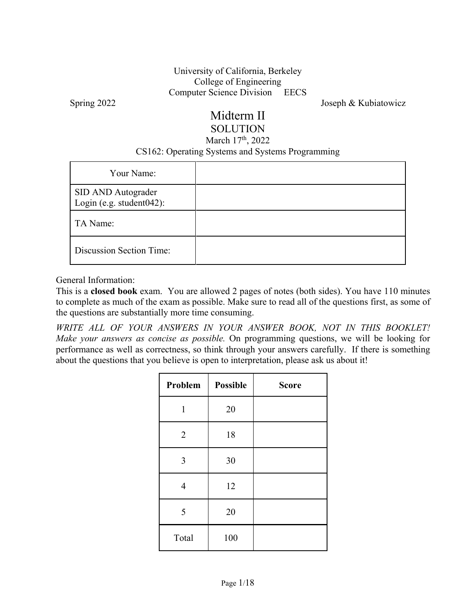#### University of California, Berkeley College of Engineering Computer Science Division EECS

Spring 2022 Joseph & Kubiatowicz

#### Midterm II **SOLUTION**

### March 17<sup>th</sup>, 2022

#### CS162: Operating Systems and Systems Programming

| Your Name:                                     |  |
|------------------------------------------------|--|
| SID AND Autograder<br>Login (e.g. student042): |  |
| TA Name:                                       |  |
| <b>Discussion Section Time:</b>                |  |

General Information:

This is a **closed book** exam. You are allowed 2 pages of notes (both sides). You have 110 minutes to complete as much of the exam as possible. Make sure to read all of the questions first, as some of the questions are substantially more time consuming.

*WRITE ALL OF YOUR ANSWERS IN YOUR ANSWER BOOK, NOT IN THIS BOOKLET! Make your answers as concise as possible.* On programming questions, we will be looking for performance as well as correctness, so think through your answers carefully. If there is something about the questions that you believe is open to interpretation, please ask us about it!

| Problem        | <b>Possible</b> | <b>Score</b> |
|----------------|-----------------|--------------|
| 1              | 20              |              |
| $\overline{2}$ | 18              |              |
| 3              | 30              |              |
| $\overline{4}$ | 12              |              |
| 5              | 20              |              |
| Total          | 100             |              |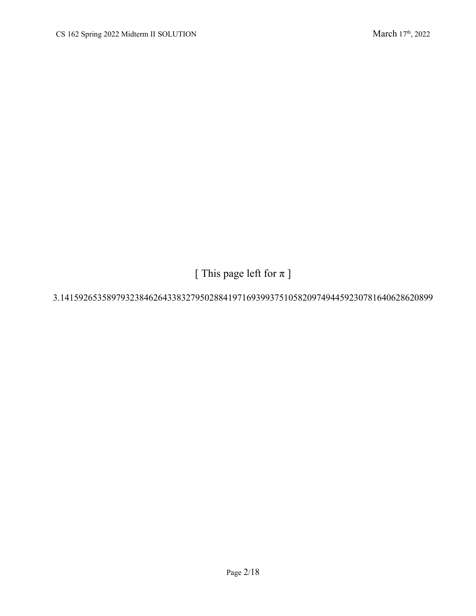[ This page left for  $\pi$  ]

### 3.14159265358979323846264338327950288419716939937510582097494459230781640628620899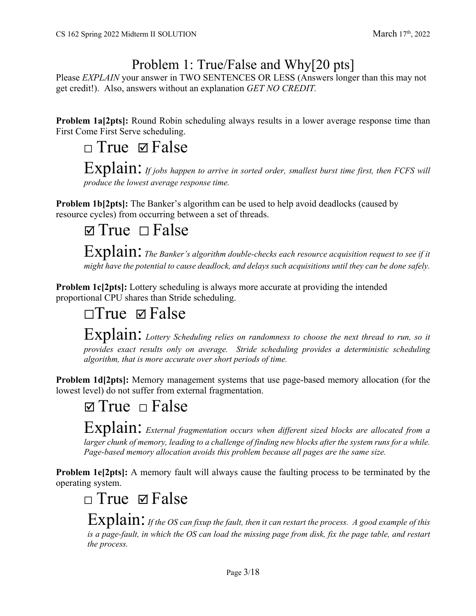# Problem 1: True/False and Why[20 pts]

Please *EXPLAIN* your answer in TWO SENTENCES OR LESS (Answers longer than this may not get credit!). Also, answers without an explanation *GET NO CREDIT.* 

**Problem 1a[2pts]:** Round Robin scheduling always results in a lower average response time than First Come First Serve scheduling.

# $\Box$  True  $\Box$  False

Explain: *If jobs happen to arrive in sorted order, smallest burst time first, then FCFS will produce the lowest average response time.*

**Problem 1b[2pts]:** The Banker's algorithm can be used to help avoid deadlocks (caused by resource cycles) from occurring between a set of threads.

# $\boxdot$  True  $\Box$  False

Explain: The Banker's algorithm double-checks each resource acquisition request to see if it *might have the potential to cause deadlock, and delays such acquisitions until they can be done safely.*

**Problem 1c[2pts]:** Lottery scheduling is always more accurate at providing the intended proportional CPU shares than Stride scheduling.

# ⬜True False

Explain: Lottery Scheduling relies on randomness to choose the next thread to run, so it *provides exact results only on average. Stride scheduling provides a deterministic scheduling algorithm, that is more accurate over short periods of time.*

**Problem 1d[2pts]:** Memory management systems that use page-based memory allocation (for the lowest level) do not suffer from external fragmentation.

# $\boxtimes$  True  $\Box$  False

Explain: *External fragmentation occurs when different sized blocks are allocated from a larger chunk of memory, leading to a challenge of finding new blocks after the system runs for a while. Page-based memory allocation avoids this problem because all pages are the same size.* 

**Problem 1e[2pts]:** A memory fault will always cause the faulting process to be terminated by the operating system.

□ True Ø False

Explain: *If the OS can fixup the fault, then it can restart the process. A good example of this is a page-fault, in which the OS can load the missing page from disk, fix the page table, and restart the process.*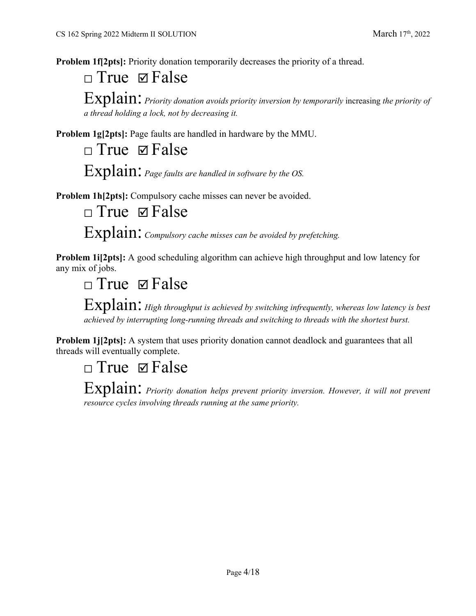**Problem 1f[2pts]:** Priority donation temporarily decreases the priority of a thread.

 $\Box$  True  $\Box$  False

Explain: *Priority donation avoids priority inversion by temporarily increasing the priority of a thread holding a lock, not by decreasing it.*

**Problem 1g[2pts]:** Page faults are handled in hardware by the MMU.

 $\Box$  True  $\Box$  False Explain: *Page faults are handled in software by the OS.* 

**Problem 1h[2pts]:** Compulsory cache misses can never be avoided.

 $\Box$  True  $\Box$  False Explain: *Compulsory cache misses can be avoided by prefetching.* 

**Problem 1i[2pts]:** A good scheduling algorithm can achieve high throughput and low latency for any mix of jobs.

 $\Box$  True  $\Box$  False

Explain: High throughput is achieved by switching infrequently, whereas low latency is best *achieved by interrupting long-running threads and switching to threads with the shortest burst.* 

**Problem 1j[2pts]:** A system that uses priority donation cannot deadlock and guarantees that all threads will eventually complete.

 $\Box$  True  $\Box$  False

Explain: *Priority donation helps prevent priority inversion. However, it will not prevent resource cycles involving threads running at the same priority.*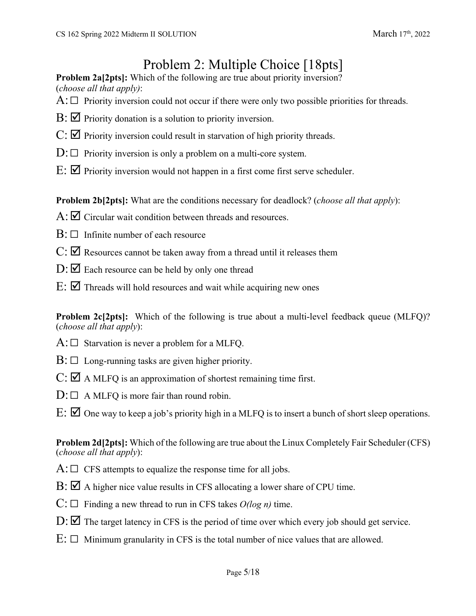## Problem 2: Multiple Choice [18pts]

**Problem 2a[2pts]:** Which of the following are true about priority inversion? (*choose all that apply)*:

- $A: \Box$  Priority inversion could not occur if there were only two possible priorities for threads.
- $B: \mathbb{Z}$  Priority donation is a solution to priority inversion.
- $C: \nabla$  Priority inversion could result in starvation of high priority threads.
- $D: \Box$  Priority inversion is only a problem on a multi-core system.
- $E: \Delta$  Priority inversion would not happen in a first come first serve scheduler.

**Problem 2b[2pts]:** What are the conditions necessary for deadlock? (*choose all that apply*):

- $A: \nightharpoonup$  Circular wait condition between threads and resources.
- $B: \Box$  Infinite number of each resource
- $C: \mathbb{Z}$  Resources cannot be taken away from a thread until it releases them
- $D: \mathbb{Z}$  Each resource can be held by only one thread
- $E: \nabla$  Threads will hold resources and wait while acquiring new ones

**Problem 2c[2pts]:** Which of the following is true about a multi-level feedback queue (MLFQ)? (*choose all that apply*):

- $A: \square$  Starvation is never a problem for a MLFQ.
- $B: \Box$  Long-running tasks are given higher priority.
- $C: \nabla A$  MLFQ is an approximation of shortest remaining time first.
- $D: \Box$  A MLFQ is more fair than round robin.
- $E: \nabla$  One way to keep a job's priority high in a MLFQ is to insert a bunch of short sleep operations.

**Problem 2d[2pts]:** Which of the following are true about the Linux Completely Fair Scheduler (CFS) (*choose all that apply*):

- $A: \square$  CFS attempts to equalize the response time for all jobs.
- $B: \nabla A$  higher nice value results in CFS allocating a lower share of CPU time.
- $C: \Box$  Finding a new thread to run in CFS takes  $O(log n)$  time.
- $D: \mathbb{Z}$  The target latency in CFS is the period of time over which every job should get service.
- $E: \Box$  Minimum granularity in CFS is the total number of nice values that are allowed.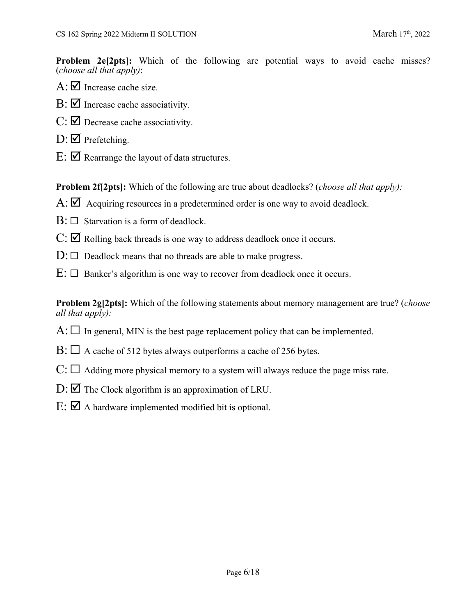**Problem 2e[2pts]:** Which of the following are potential ways to avoid cache misses? (*choose all that apply)*:

- $A: \nightharpoonup I$  Increase cache size.
- $B: \nabla$  Increase cache associativity.
- $C: \nabla$  Decrease cache associativity.
- D:  $\overline{\mathbf{D}}$  Prefetching.
- $E: \nabla$  Rearrange the layout of data structures.

**Problem 2f[2pts]:** Which of the following are true about deadlocks? *(choose all that apply)*:

- $A: \Delta$  Acquiring resources in a predetermined order is one way to avoid deadlock.
- $B: \Box$  Starvation is a form of deadlock.
- $C: \Delta$  Rolling back threads is one way to address deadlock once it occurs.
- $D: \Box$  Deadlock means that no threads are able to make progress.
- $E: \Box$  Banker's algorithm is one way to recover from deadlock once it occurs.

**Problem 2g[2pts]:** Which of the following statements about memory management are true? (*choose all that apply):* 

- $A: \Box$  In general, MIN is the best page replacement policy that can be implemented.
- $\mathrm{B}:\square$  A cache of 512 bytes always outperforms a cache of 256 bytes.
- $C: \Box$  Adding more physical memory to a system will always reduce the page miss rate.
- $D: \mathbb{Z}$  The Clock algorithm is an approximation of LRU.
- $E: \nabla A$  hardware implemented modified bit is optional.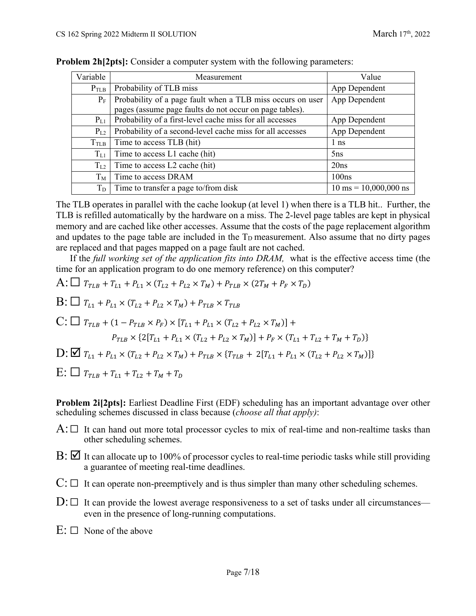| Variable         | Measurement                                                | Value                                   |
|------------------|------------------------------------------------------------|-----------------------------------------|
| $P_{TLB}$        | Probability of TLB miss                                    | App Dependent                           |
| $P_{F}$          | Probability of a page fault when a TLB miss occurs on user | App Dependent                           |
|                  | pages (assume page faults do not occur on page tables).    |                                         |
| $P_{L1}$         | Probability of a first-level cache miss for all accesses   | App Dependent                           |
| $P_{L2}$         | Probability of a second-level cache miss for all accesses  | App Dependent                           |
| T <sub>TLB</sub> | Time to access TLB (hit)                                   | $1 \text{ ns}$                          |
| $T_{L1}$         | Time to access L1 cache (hit)                              | 5 <sub>ns</sub>                         |
| $T_{L2}$         | Time to access L2 cache (hit)                              | 20ns                                    |
| $T_M$            | Time to access DRAM                                        | 100ns                                   |
|                  | $TD$ Time to transfer a page to/from disk                  | $10 \text{ ms} = 10,000,000 \text{ ns}$ |

**Problem 2h[2pts]:** Consider a computer system with the following parameters:

The TLB operates in parallel with the cache lookup (at level 1) when there is a TLB hit.. Further, the TLB is refilled automatically by the hardware on a miss. The 2-level page tables are kept in physical memory and are cached like other accesses. Assume that the costs of the page replacement algorithm and updates to the page table are included in the T<sub>D</sub> measurement. Also assume that no dirty pages are replaced and that pages mapped on a page fault are not cached.

If the *full working set of the application fits into DRAM,* what is the effective access time (the time for an application program to do one memory reference) on this computer?

 $A: \Box T_{TLB} + T_{L1} + P_{L1} \times (T_{L2} + P_{L2} \times T_M) + P_{TLB} \times (2T_M + P_F \times T_D)$  $B: \Box T_{I.1} + P_{I.1} \times (T_{I.2} + P_{I.2} \times T_M) + P_{TLB} \times T_{TLB}$  $C: \Box T_{TLR} + (1 - P_{TLR} \times P_F) \times [T_{L1} + P_{L1} \times (T_{L2} + P_{L2} \times T_M)] +$  $P_{TLB} \times \{2[T_{L1} + P_{L1} \times (T_{L2} + P_{L2} \times T_M)] + P_F \times (T_{L1} + T_{L2} + T_M + T_D)\}$  $D: \mathbf{N}$   $T_{L1} + P_{L1} \times (T_{L2} + P_{L2} \times T_M) + P_{TLB} \times (T_{TLB} + 2[T_{L1} + P_{L1} \times (T_{L2} + P_{L2} \times T_M))]$  $E: \Box T_{TLB} + T_{L1} + T_{L2} + T_M + T_D$ 

**Problem 2i[2pts]:** Earliest Deadline First (EDF) scheduling has an important advantage over other scheduling schemes discussed in class because (*choose all that apply)*:

- $A: \square$  It can hand out more total processor cycles to mix of real-time and non-realtime tasks than other scheduling schemes.
- $B: \mathbb{Z}$  It can allocate up to 100% of processor cycles to real-time periodic tasks while still providing a guarantee of meeting real-time deadlines.
- $C: \Box$  It can operate non-preemptively and is thus simpler than many other scheduling schemes.
- $D: \Box$  It can provide the lowest average responsiveness to a set of tasks under all circumstances even in the presence of long-running computations.
- $E: \Box$  None of the above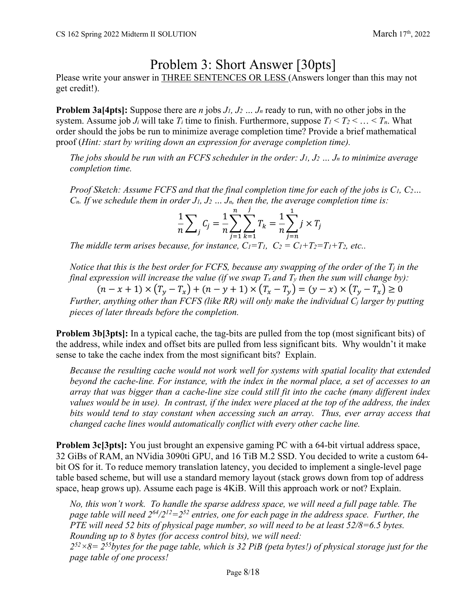### Problem 3: Short Answer [30pts]

Please write your answer in THREE SENTENCES OR LESS (Answers longer than this may not get credit!).

**Problem 3a[4pts]:** Suppose there are *n* jobs  $J_1, J_2, \ldots, J_n$  ready to run, with no other jobs in the system. Assume job  $J_i$  will take  $T_i$  time to finish. Furthermore, suppose  $T_1 < T_2 < ... < T_n$ . What order should the jobs be run to minimize average completion time? Provide a brief mathematical proof (*Hint: start by writing down an expression for average completion time).*

*The jobs should be run with an FCFS scheduler in the order: J1, J2 … Jn to minimize average completion time.* 

*Proof Sketch: Assume FCFS and that the final completion time for each of the jobs is C1, C2… Cn. If we schedule them in order J1, J2 … Jn, then the, the average completion time is:* 

$$
\frac{1}{n}\sum_{j} C_{j} = \frac{1}{n}\sum_{j=1}^{n}\sum_{k=1}^{j} T_{k} = \frac{1}{n}\sum_{j=n}^{1} j \times T_{j}
$$

*The middle term arises because, for instance,*  $C_1 = T_1$ *,*  $C_2 = C_1 + T_2 = T_1 + T_2$ *, etc..* 

*Notice that this is the best order for FCFS, because any swapping of the order of the Tj in the final expression will increase the value (if we swap*  $T_x$  *and*  $T_y$  *then the sum will change by):*  $(n - x + 1) \times (T_v - T_x) + (n - y + 1) \times (T_x - T_v) = (y - x) \times (T_v - T_x) \ge 0$ 

*Further, anything other than FCFS (like RR) will only make the individual Cj larger by putting pieces of later threads before the completion.*

**Problem 3b[3pts]:** In a typical cache, the tag-bits are pulled from the top (most significant bits) of the address, while index and offset bits are pulled from less significant bits. Why wouldn't it make sense to take the cache index from the most significant bits? Explain.

*Because the resulting cache would not work well for systems with spatial locality that extended beyond the cache-line. For instance, with the index in the normal place, a set of accesses to an array that was bigger than a cache-line size could still fit into the cache (many different index values would be in use). In contrast, if the index were placed at the top of the address, the index bits would tend to stay constant when accessing such an array. Thus, ever array access that changed cache lines would automatically conflict with every other cache line.*

**Problem 3c[3pts]:** You just brought an expensive gaming PC with a 64-bit virtual address space, 32 GiBs of RAM, an NVidia 3090ti GPU, and 16 TiB M.2 SSD. You decided to write a custom 64 bit OS for it. To reduce memory translation latency, you decided to implement a single-level page table based scheme, but will use a standard memory layout (stack grows down from top of address space, heap grows up). Assume each page is 4KiB. Will this approach work or not? Explain.

*No, this won't work. To handle the sparse address space, we will need a full page table. The page table will need 264/212=252 entries, one for each page in the address space. Further, the PTE will need 52 bits of physical page number, so will need to be at least 52/8=6.5 bytes. Rounding up to 8 bytes (for access control bits), we will need:* 

*252×8= 255bytes for the page table, which is 32 PiB (peta bytes!) of physical storage just for the page table of one process!*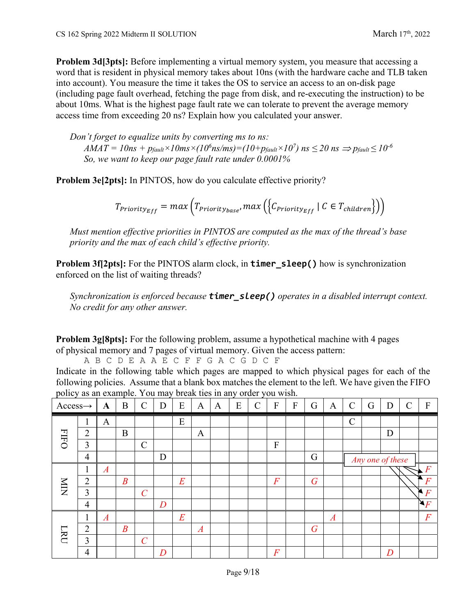**Problem 3d[3pts]:** Before implementing a virtual memory system, you measure that accessing a word that is resident in physical memory takes about 10ns (with the hardware cache and TLB taken into account). You measure the time it takes the OS to service an access to an on-disk page (including page fault overhead, fetching the page from disk, and re-executing the instruction) to be about 10ms. What is the highest page fault rate we can tolerate to prevent the average memory access time from exceeding 20 ns? Explain how you calculated your answer.

*Don't forget to equalize units by converting ms to ns:*   $AMAT = 10$ ns +  $p_{fault} \times 10$ ms  $\times (10^6 \text{ns/ms}) = (10 + p_{fault} \times 10^7)$  ns  $\leq 20$  ns  $\Rightarrow p_{fault} \leq 10^{-6}$  *So, we want to keep our page fault rate under 0.0001%* 

**Problem 3e[2pts]:** In PINTOS, how do you calculate effective priority?

$$
T_{Priority_{Eff}} = max\left(T_{Priority_{base}}, max\left(\left\{C_{Priority_{Eff}} \mid C \in T_{children}\right\}\right)\right)
$$

*Must mention effective priorities in PINTOS are computed as the max of the thread's base priority and the max of each child's effective priority.* 

**Problem 3f[2pts]:** For the PINTOS alarm clock, in **timer** sleep() how is synchronization enforced on the list of waiting threads?

*Synchronization is enforced because timer\_sleep() operates in a disabled interrupt context. No credit for any other answer.* 

**Problem 3g[8pts]:** For the following problem, assume a hypothetical machine with 4 pages of physical memory and 7 pages of virtual memory. Given the access pattern:

A B C D E A A E C F F G A C G D C F

Indicate in the following table which pages are mapped to which physical pages for each of the following policies. Assume that a blank box matches the element to the left. We have given the FIFO policy as an example. You may break ties in any order you wish.

| $Access\rightarrow$ |                    | $\mathbf A$      | $\, {\bf B}$     | $\mathcal{C}$  | D              | E         | $\mathbf{A}$   | $\mathbf{A}$ | ${\bf E}$ | $\mathbf C$ | $\mathbf F$      | $\boldsymbol{F}$ | G                | $\mathbf{A}$   | $\mathcal{C}$ | G | D                | $\mathsf{C}$ | $\mathbf{F}$             |
|---------------------|--------------------|------------------|------------------|----------------|----------------|-----------|----------------|--------------|-----------|-------------|------------------|------------------|------------------|----------------|---------------|---|------------------|--------------|--------------------------|
|                     | Ŧ.                 | A                |                  |                |                | ${\bf E}$ |                |              |           |             |                  |                  |                  |                | $\mathbf C$   |   |                  |              |                          |
| <b>FIFO</b>         | $\mathcal{L}$<br>∠ |                  | $\boldsymbol{B}$ |                |                |           | $\mathbf{A}$   |              |           |             |                  |                  |                  |                |               |   | D                |              |                          |
|                     | 3                  |                  |                  | $\mathbf C$    |                |           |                |              |           |             | $\mathbf{F}$     |                  |                  |                |               |   |                  |              |                          |
|                     | $\overline{4}$     |                  |                  |                | D              |           |                |              |           |             |                  |                  | G                |                |               |   | Any one of these |              |                          |
|                     | $\bf{I}$           | $\overline{A}$   |                  |                |                |           |                |              |           |             |                  |                  |                  |                |               |   |                  |              | $\boldsymbol{F}$         |
| $\sum_{\mathbf{N}}$ | $\mathcal{D}$<br>∠ |                  | $\boldsymbol{B}$ |                |                | $E_{\rm}$ |                |              |           |             | $\boldsymbol{F}$ |                  | $\boldsymbol{G}$ |                |               |   |                  |              | $\boldsymbol{F}$         |
|                     | 3                  |                  |                  | $\overline{C}$ |                |           |                |              |           |             |                  |                  |                  |                |               |   |                  |              | $\blacktriangle F$       |
|                     | $\overline{4}$     |                  |                  |                | $\overline{D}$ |           |                |              |           |             |                  |                  |                  |                |               |   |                  |              | $\blacktriangleleft_{F}$ |
|                     | 1.<br>Ŧ.           | $\boldsymbol{A}$ |                  |                |                | $E_{\rm}$ |                |              |           |             |                  |                  |                  | $\overline{A}$ |               |   |                  |              | $\boldsymbol{F}$         |
| LRU                 | $\overline{2}$     |                  | $\boldsymbol{B}$ |                |                |           | $\overline{A}$ |              |           |             |                  |                  | $\boldsymbol{G}$ |                |               |   |                  |              |                          |
|                     | 3                  |                  |                  | $\overline{C}$ |                |           |                |              |           |             |                  |                  |                  |                |               |   |                  |              |                          |
|                     | $\overline{4}$     |                  |                  |                | $\overline{D}$ |           |                |              |           |             | $\,F$            |                  |                  |                |               |   | $\overline{D}$   |              |                          |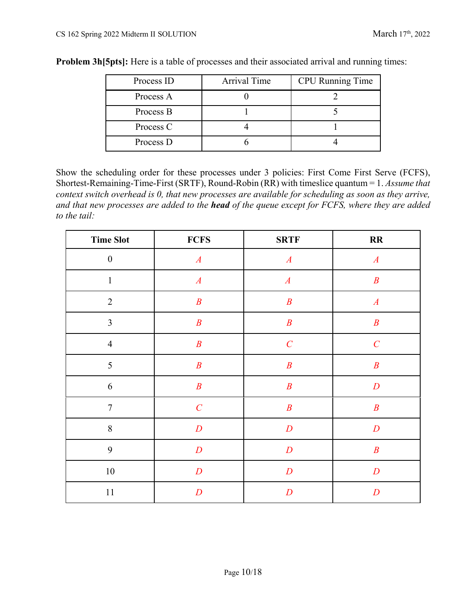| Process ID | Arrival Time | <b>CPU</b> Running Time |
|------------|--------------|-------------------------|
| Process A  |              |                         |
| Process B  |              |                         |
| Process C  |              |                         |
| Process D  |              |                         |

**Problem 3h[5pts]:** Here is a table of processes and their associated arrival and running times:

Show the scheduling order for these processes under 3 policies: First Come First Serve (FCFS), Shortest-Remaining-Time-First (SRTF), Round-Robin (RR) with timeslice quantum = 1. *Assume that context switch overhead is 0, that new processes are available for scheduling as soon as they arrive, and that new processes are added to the head of the queue except for FCFS, where they are added to the tail:*

| <b>Time Slot</b> | <b>FCFS</b>      | <b>SRTF</b>      | $\mathbf{R}$     |
|------------------|------------------|------------------|------------------|
| $\boldsymbol{0}$ | $\boldsymbol{A}$ | $\boldsymbol{A}$ | $\boldsymbol{A}$ |
| $\mathbf{1}$     | $\boldsymbol{A}$ | $\boldsymbol{A}$ | $\boldsymbol{B}$ |
| $\overline{2}$   | $\boldsymbol{B}$ | $\boldsymbol{B}$ | $\boldsymbol{A}$ |
| $\overline{3}$   | $\boldsymbol{B}$ | $\boldsymbol{B}$ | $\boldsymbol{B}$ |
| $\overline{4}$   | $\boldsymbol{B}$ | $\mathcal{C}$    | $\boldsymbol{C}$ |
| 5                | $\boldsymbol{B}$ | $\boldsymbol{B}$ | $\boldsymbol{B}$ |
| $\sqrt{6}$       | $\boldsymbol{B}$ | $\boldsymbol{B}$ | $\boldsymbol{D}$ |
| $\overline{7}$   | $\mathcal{C}$    | $\boldsymbol{B}$ | $\boldsymbol{B}$ |
| $8\,$            | $\boldsymbol{D}$ | $\boldsymbol{D}$ | $\boldsymbol{D}$ |
| 9                | $\boldsymbol{D}$ | $\boldsymbol{D}$ | $\boldsymbol{B}$ |
| $10\,$           | $\boldsymbol{D}$ | $\boldsymbol{D}$ | $\boldsymbol{D}$ |
| $11\,$           | $\boldsymbol{D}$ | $\boldsymbol{D}$ | $\overline{D}$   |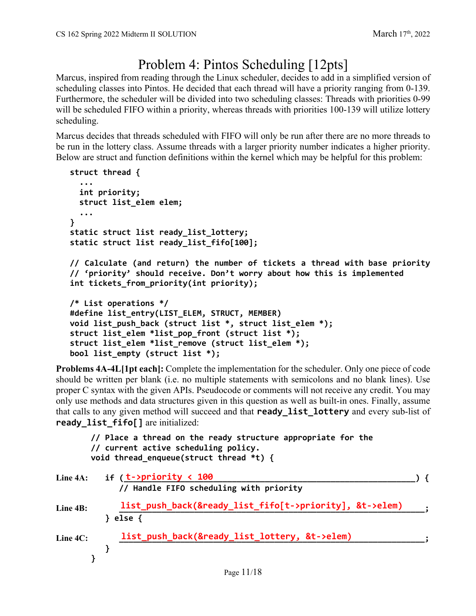**bool list\_empty (struct list \*);**

## Problem 4: Pintos Scheduling [12pts]

Marcus, inspired from reading through the Linux scheduler, decides to add in a simplified version of scheduling classes into Pintos. He decided that each thread will have a priority ranging from 0-139. Furthermore, the scheduler will be divided into two scheduling classes: Threads with priorities 0-99 will be scheduled FIFO within a priority, whereas threads with priorities 100-139 will utilize lottery scheduling.

Marcus decides that threads scheduled with FIFO will only be run after there are no more threads to be run in the lottery class. Assume threads with a larger priority number indicates a higher priority. Below are struct and function definitions within the kernel which may be helpful for this problem:

```
struct thread {
    ...
    int priority;
    struct list_elem elem;
  ...
}
static struct list ready_list_lottery;
static struct list ready_list_fifo[100];
// Calculate (and return) the number of tickets a thread with base priority
// 'priority' should receive. Don't worry about how this is implemented
int tickets_from_priority(int priority);
/* List operations */
#define list_entry(LIST_ELEM, STRUCT, MEMBER)
void list_push_back (struct list *, struct list_elem *);
struct list_elem *list_pop_front (struct list *);
struct list_elem *list_remove (struct list_elem *);
```
**Problems 4A-4L[1pt each]:** Complete the implementation for the scheduler. Only one piece of code should be written per blank (i.e. no multiple statements with semicolons and no blank lines). Use proper C syntax with the given APIs. Pseudocode or comments will not receive any credit. You may only use methods and data structures given in this question as well as built-in ones. Finally, assume that calls to any given method will succeed and that **ready\_list\_lottery** and every sub-list of ready list fifo[] are initialized:

```
// Place a thread on the ready structure appropriate for the
         // current active scheduling policy.   
         void thread_enqueue(struct thread *t) {
Line 4A:    if (______________________________________________________________) {
t‐>priority < 100
                         // Handle FIFO scheduling with priority
Line 4B:       _________________________________________________________________;
list_push_back(&ready_list_fifo[t‐>priority], &t‐>elem)
                  } else {
Line 4C:       _________________________________________________________________;
list_push_back(&ready_list_lottery, &t‐>elem)     }
         }
```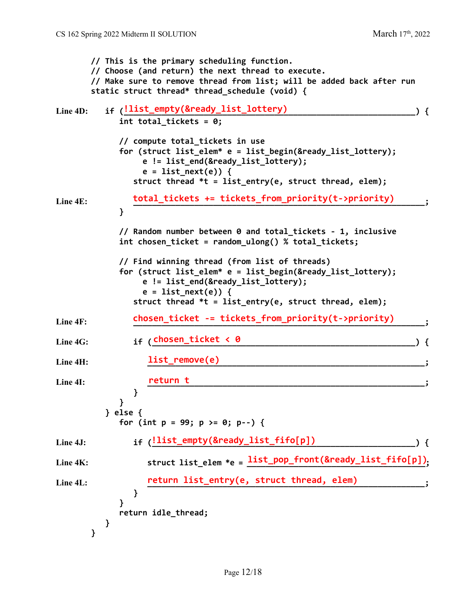**// This is the primary scheduling function. // Choose (and return) the next thread to execute. // Make sure to remove thread from list; will be added back after run static struct thread\* thread\_schedule (void) { Line 4D: if (\_\_\_\_\_\_\_\_\_\_\_\_\_\_\_\_\_\_\_\_\_\_\_\_\_\_\_\_\_\_\_\_\_\_\_\_\_\_\_\_\_\_\_\_\_\_\_\_\_\_\_\_\_\_\_\_\_\_\_\_\_\_) { !list\_empty(&ready\_list\_lottery) int total\_tickets = 0; // compute total\_tickets in use for (struct list\_elem\* e = list\_begin(&ready\_list\_lottery); e != list\_end(&ready\_list\_lottery); e = list\_next(e)) { struct thread \*t = list\_entry(e, struct thread, elem); Line 4E: \_\_\_\_\_\_\_\_\_\_\_\_\_\_\_\_\_\_\_\_\_\_\_\_\_\_\_\_\_\_\_\_\_\_\_\_\_\_\_\_\_\_\_\_\_\_\_\_\_\_\_\_\_\_\_\_\_\_\_\_\_\_; total\_tickets += tickets\_from\_priority(t‐>priority) } // Random number between 0 and total\_tickets ‐ 1, inclusive int chosen\_ticket = random\_ulong() % total\_tickets; // Find winning thread (from list of threads) for (struct list\_elem\* e = list\_begin(&ready\_list\_lottery); e != list\_end(&ready\_list\_lottery); e = list\_next(e)) { struct thread \*t = list\_entry(e, struct thread, elem); Line 4F: \_\_\_\_\_\_\_\_\_\_\_\_\_\_\_\_\_\_\_\_\_\_\_\_\_\_\_\_\_\_\_\_\_\_\_\_\_\_\_\_\_\_\_\_\_\_\_\_\_\_\_\_\_\_\_\_\_\_\_\_\_\_; chosen\_ticket ‐= tickets\_from\_priority(t‐>priority) Line 4G: if (\_\_\_\_\_\_\_\_\_\_\_\_\_\_\_\_\_\_\_\_\_\_\_\_\_\_\_\_\_\_\_\_\_\_\_\_\_\_\_\_\_\_\_\_\_\_\_\_\_\_\_\_\_\_\_\_) { chosen\_ticket < 0 Line 4H: \_\_\_\_\_\_\_\_\_\_\_\_\_\_\_\_\_\_\_\_\_\_\_\_\_\_\_\_\_\_\_\_\_\_\_\_\_\_\_\_\_\_\_\_\_\_\_\_\_\_\_\_\_\_\_\_\_\_\_; list\_remove(e) Line 4I: \_\_\_\_\_\_\_\_\_\_\_\_\_\_\_\_\_\_\_\_\_\_\_\_\_\_\_\_\_\_\_\_\_\_\_\_\_\_\_\_\_\_\_\_\_\_\_\_\_\_\_\_\_\_\_\_\_\_\_; } } } else { for (int p = 99; p >= 0; p‐‐) { Line 4J: if (\_\_\_\_\_\_\_\_\_\_\_\_\_\_\_\_\_\_\_\_\_\_\_\_\_\_\_\_\_\_\_\_\_\_\_\_\_\_\_\_\_\_\_\_\_\_\_\_\_\_\_\_\_\_\_\_) { !list\_empty(&ready\_list\_fifo[p]) Line 4K: struct list\_elem \*e = \_\_\_\_\_\_\_\_\_\_\_\_\_\_\_\_\_\_\_\_\_\_\_\_\_\_\_\_\_\_\_\_\_\_\_\_\_\_; list\_pop\_front(&ready\_list\_fifo[p])**  $\begin{bmatrix} \text{Line 4L:} \end{bmatrix}$  **return**  $\begin{bmatrix} \text{list\_entry(e, struct thread, elem)} \end{bmatrix}$  ,  **} } return idle\_thread; } } return t**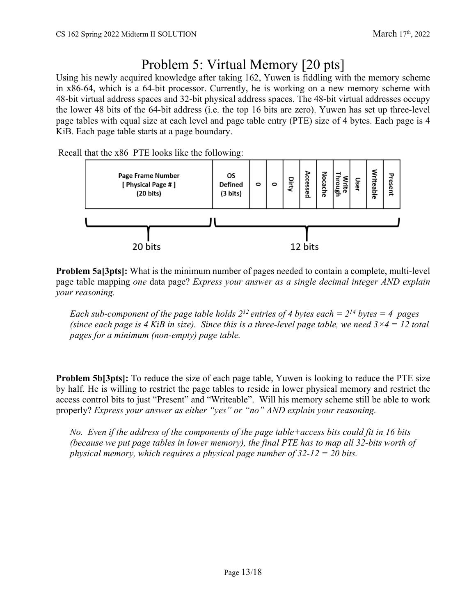## Problem 5: Virtual Memory [20 pts]

Using his newly acquired knowledge after taking 162, Yuwen is fiddling with the memory scheme in x86-64, which is a 64-bit processor. Currently, he is working on a new memory scheme with 48-bit virtual address spaces and 32-bit physical address spaces. The 48-bit virtual addresses occupy the lower 48 bits of the 64-bit address (i.e. the top 16 bits are zero). Yuwen has set up three-level page tables with equal size at each level and page table entry (PTE) size of 4 bytes. Each page is 4 KiB. Each page table starts at a page boundary.

Recall that the x86 PTE looks like the following:



**Problem 5a[3pts]:** What is the minimum number of pages needed to contain a complete, multi-level page table mapping *one* data page? *Express your answer as a single decimal integer AND explain your reasoning.* 

*Each sub-component of the page table holds*  $2^{12}$  *entries of 4 bytes each =*  $2^{14}$  *bytes = 4 pages (since each page is 4 KiB in size). Since this is a three-level page table, we need 3×4 = 12 total pages for a minimum (non-empty) page table.*

**Problem 5b[3pts]:** To reduce the size of each page table, Yuwen is looking to reduce the PTE size by half. He is willing to restrict the page tables to reside in lower physical memory and restrict the access control bits to just "Present" and "Writeable". Will his memory scheme still be able to work properly? *Express your answer as either "yes" or "no" AND explain your reasoning.*

*No. Even if the address of the components of the page table+access bits could fit in 16 bits (because we put page tables in lower memory), the final PTE has to map all 32-bits worth of physical memory, which requires a physical page number of 32-12 = 20 bits.*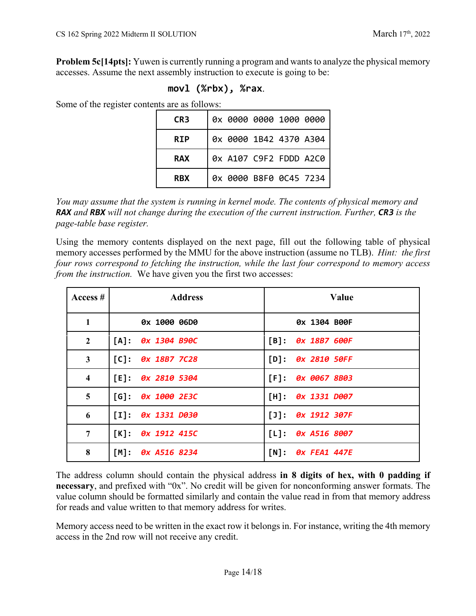**Problem 5c[14pts]:** Yuwen is currently running a program and wants to analyze the physical memory accesses. Assume the next assembly instruction to execute is going to be:

**movl (%rbx), %rax**.

Some of the register contents are as follows:

| CR <sub>3</sub> | 0x 0000 0000 1000 0000 |  |  |
|-----------------|------------------------|--|--|
| <b>RIP</b>      | 0x 0000 1B42 4370 A304 |  |  |
| <b>RAX</b>      | 0x A107 C9F2 FDDD A2C0 |  |  |
| <b>RBX</b>      | 0x 0000 B8F0 0C45 7234 |  |  |

*You may assume that the system is running in kernel mode. The contents of physical memory and RAX* and *RBX* will not change during the execution of the current instruction. Further, CR3 is the *page-table base register.* 

Using the memory contents displayed on the next page, fill out the following table of physical memory accesses performed by the MMU for the above instruction (assume no TLB). *Hint: the first four rows correspond to fetching the instruction, while the last four correspond to memory access from the instruction.* We have given you the first two accesses:

| Access $#$              | <b>Address</b>                        | Value                                 |
|-------------------------|---------------------------------------|---------------------------------------|
| $\mathbf{1}$            | 0x 1000 06D0                          | 0x 1304 B00F                          |
| $\overline{2}$          | $[A]:$ $\theta$ x 1304 B90C           | $[B]:$ $\theta$ x 18B7 600F           |
| $\mathbf{3}$            | $[C]$ : 0x 18B7 7C28                  | $[D]: \quad 0x \quad 2810 \quad 50FF$ |
| $\overline{\mathbf{4}}$ | $[E]$ : 0x 2810 5304                  | $[F]$ : 0x 0067 8B03                  |
| 5                       | $[G]: \quad 0x \quad 1000 \quad 2E3C$ | $[H]: \quad 0x$ 1331 D007             |
| 6                       | $[I]: \quad 0x \quad 1331 \quad 0030$ | [J]: 0x 1912 307F                     |
| $\overline{7}$          | $[K]: \quad 0x$ 1912 415C             | $[L]$ : 0x 4516 8007                  |
| 8                       | $[M]: \quad 0x \quad 4516 \quad 8234$ | $[N]: \quad \Theta X$ FEA1 447E       |

The address column should contain the physical address **in 8 digits of hex, with 0 padding if necessary**, and prefixed with "0x". No credit will be given for nonconforming answer formats. The value column should be formatted similarly and contain the value read in from that memory address for reads and value written to that memory address for writes.

Memory access need to be written in the exact row it belongs in. For instance, writing the 4th memory access in the 2nd row will not receive any credit.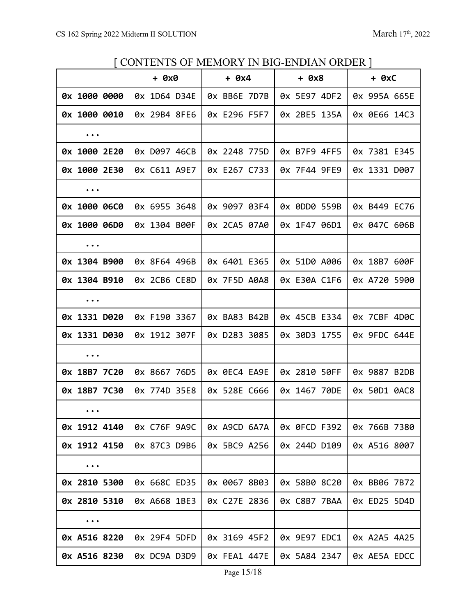| [ CONTENTS OF MEMORY IN BIG-ENDIAN ORDER ] |  |
|--------------------------------------------|--|
|--------------------------------------------|--|

|              | $+ 0x0$      | + 0x4                       | + 0x8        | $+ 0xC$      |
|--------------|--------------|-----------------------------|--------------|--------------|
| 0x 1000 0000 |              | 0x 1D64 D34E   0x BB6E 7D7B | 0x 5E97 4DF2 | 0x 995A 665E |
| 0x 1000 0010 | 0x 29B4 8FE6 | 0x E296 F5F7                | 0x 2BE5 135A | 0x 0E66 14C3 |
| $\cdots$     |              |                             |              |              |
| 0x 1000 2E20 | 0x D097 46CB | 0x 2248 775D                | 0x B7F9 4FF5 | 0x 7381 E345 |
| 0x 1000 2E30 | 0x C611 A9E7 | 0x E267 C733                | 0x 7F44 9FE9 | 0x 1331 D007 |
| $\cdots$     |              |                             |              |              |
| 0x 1000 06C0 | 0x 6955 3648 | 0x 9097 03F4                | 0x 0DD0 559B | 0x B449 EC76 |
| 0x 1000 06D0 | 0x 1304 B00F | 0x 2CA5 07A0                | 0x 1F47 06D1 | 0x 047C 606B |
| $\cdots$     |              |                             |              |              |
| 0x 1304 B900 | 0x 8F64 496B | 0x 6401 E365                | 0x 51D0 A006 | 0x 18B7 600F |
| 0x 1304 B910 | 0x 2CB6 CE8D | 0x 7F5D A0A8                | 0x E30A C1F6 | 0x A720 5900 |
| $\cdots$     |              |                             |              |              |
| 0x 1331 D020 | 0x F190 3367 | 0x BA83 B42B                | 0x 45CB E334 | 0x 7CBF 4D0C |
| 0x 1331 D030 | 0x 1912 307F | 0x D283 3085                | 0x 30D3 1755 | 0x 9FDC 644E |
| $\cdots$     |              |                             |              |              |
| 0x 18B7 7C20 | 0x 8667 76D5 | 0x 0EC4 EA9E                | 0x 2810 50FF | 0x 9887 B2DB |
| 0x 18B7 7C30 | 0x 774D 35E8 | 0x 528E C666                | 0x 1467 70DE | 0x 50D1 0AC8 |
| $\cdots$     |              |                             |              |              |
| 0x 1912 4140 | 0x C76F 9A9C | 0x A9CD 6A7A                | 0x 0FCD F392 | 0x 766B 7380 |
| 0x 1912 4150 | 0x 87C3 D9B6 | 0x 5BC9 A256                | 0x 244D D109 | 0x A516 8007 |
| $\cdots$     |              |                             |              |              |
| 0x 2810 5300 | 0x 668C ED35 | 0x 0067 8B03                | 0x 58B0 8C20 | 0x BB06 7B72 |
| 0x 2810 5310 | 0x A668 1BE3 | 0x C27E 2836                | 0x C8B7 7BAA | 0x ED25 5D4D |
| $\cdots$     |              |                             |              |              |
| 0x A516 8220 | 0x 29F4 5DFD | 0x 3169 45F2                | 0x 9E97 EDC1 | 0x A2A5 4A25 |
| 0x A516 8230 | 0x DC9A D3D9 | 0x FEA1 447E                | 0x 5A84 2347 | 0x AE5A EDCC |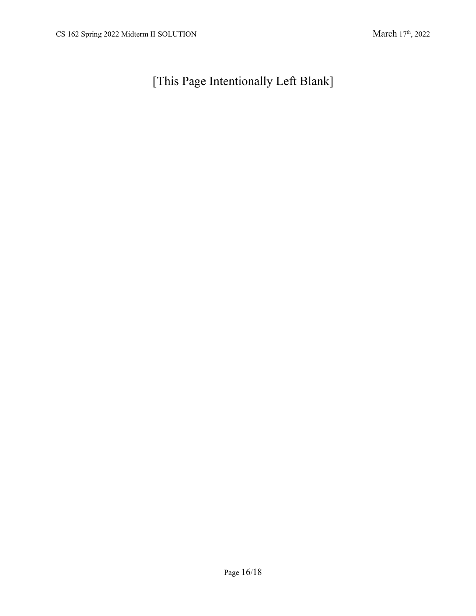[This Page Intentionally Left Blank]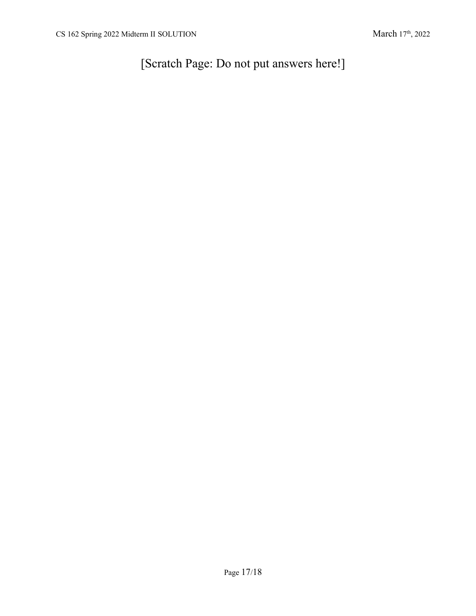[Scratch Page: Do not put answers here!]